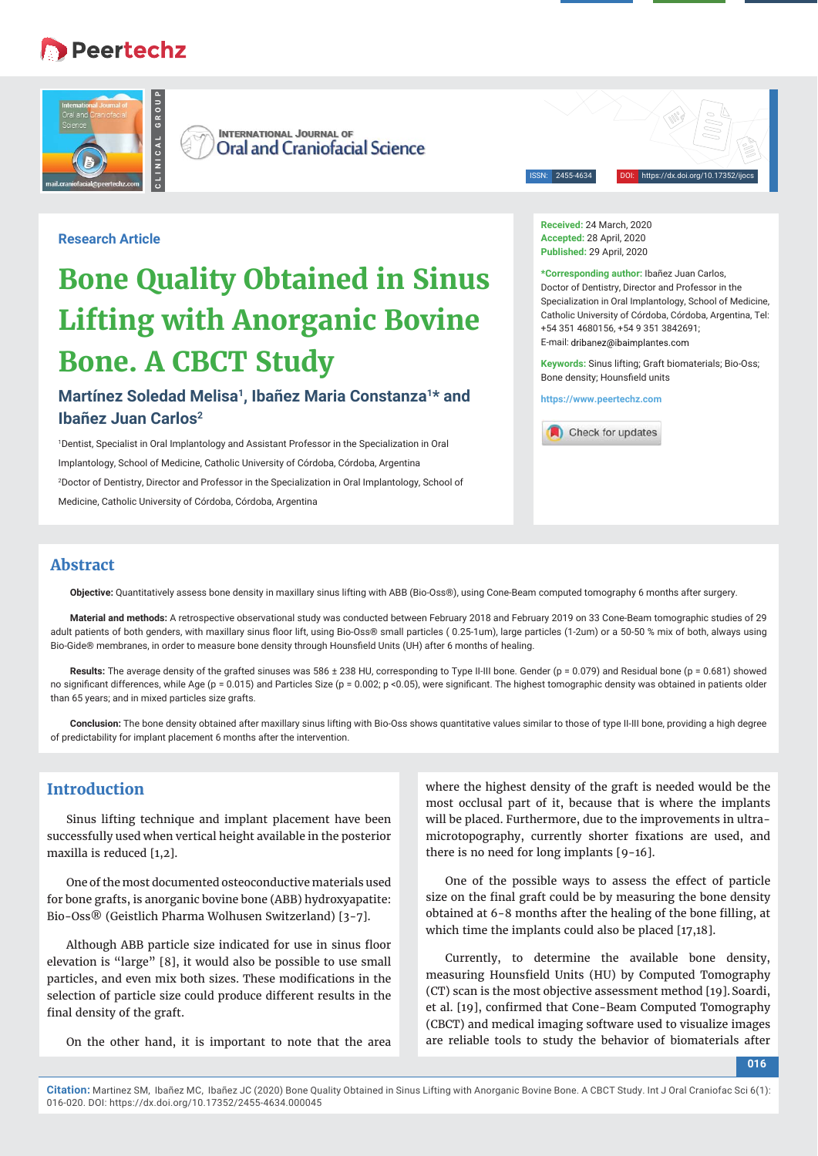# **B** Peertechz



**INTERNATIONAL JOURNAL OF Oral and Craniofacial Science** 

2455-4634

**Research Article**

# **Bone Quality Obtained in Sinus Lifting with Anorganic Bovine Bone. A CBCT Study**

## **Martínez Soledad Melisa1, Ibañez Maria Constanza1\* and Ibañez Juan Carlos2**

1 Dentist, Specialist in Oral Implantology and Assistant Professor in the Specialization in Oral Implantology, School of Medicine, Catholic University of Córdoba, Córdoba, Argentina 2 Doctor of Dentistry, Director and Professor in the Specialization in Oral Implantology, School of Medicine, Catholic University of Córdoba, Córdoba, Argentina

**Received:** 24 March, 2020 **Accepted:** 28 April, 2020 Published: 29 April, 2020

**\*Corresponding author:** Ibañez Juan Carlos,

Doctor of Dentistry, Director and Professor in the Specialization in Oral Implantology, School of Medicine, Catholic University of Córdoba, Córdoba, Argentina, Tel: +54 351 4680156, +54 9 351 3842691; E-mail: dribanez@ibaimplantes.com

**Keywords:** Sinus lifting; Graft biomaterials; Bio-Oss; Bone density: Hounsfield units

**https://www.peertechz.com**



#### **Abstract**

**Objective:** Quantitatively assess bone density in maxillary sinus lifting with ABB (Bio-Oss®), using Cone-Beam computed tomography 6 months after surgery.

**Material and methods:** A retrospective observational study was conducted between February 2018 and February 2019 on 33 Cone-Beam tomographic studies of 29 adult patients of both genders, with maxillary sinus floor lift, using Bio-Oss® small particles (0.25-1um), large particles (1-2um) or a 50-50 % mix of both, always using Bio-Gide® membranes, in order to measure bone density through Hounsfield Units (UH) after 6 months of healing.

Results: The average density of the grafted sinuses was 586 ± 238 HU, corresponding to Type II-III bone. Gender (p = 0.079) and Residual bone (p = 0.681) showed no significant differences, while Age (p = 0.015) and Particles Size (p = 0.002; p <0.05), were significant. The highest tomographic density was obtained in patients older than 65 years; and in mixed particles size grafts.

**Conclusion:** The bone density obtained after maxillary sinus lifting with Bio-Oss shows quantitative values similar to those of type II-III bone, providing a high degree of predictability for implant placement 6 months after the intervention.

### **Introduction**

Sinus lifting technique and implant placement have been successfully used when vertical height available in the posterior maxilla is reduced [1,2].

One of the most documented osteoconductive materials used for bone grafts, is anorganic bovine bone (ABB) hydroxyapatite: Bio-Oss® (Geistlich Pharma Wolhusen Switzerland) [3-7].

Although ABB particle size indicated for use in sinus floor elevation is "large" [8], it would also be possible to use small particles, and even mix both sizes. These modifications in the selection of particle size could produce different results in the final density of the graft.

On the other hand, it is important to note that the area

where the highest density of the graft is needed would be the most occlusal part of it, because that is where the implants will be placed. Furthermore, due to the improvements in ultramicrotopography, currently shorter fixations are used, and there is no need for long implants [9-16].

One of the possible ways to assess the effect of particle size on the final graft could be by measuring the bone density obtained at 6-8 months after the healing of the bone filling, at which time the implants could also be placed [17,18].

Currently, to determine the available bone density, measuring Hounsfield Units (HU) by Computed Tomography (CT) scan is the most objective assessment method [19].Soardi, et al. [19], confirmed that Cone-Beam Computed Tomography (CBCT) and medical imaging software used to visualize images are reliable tools to study the behavior of biomaterials after

**016**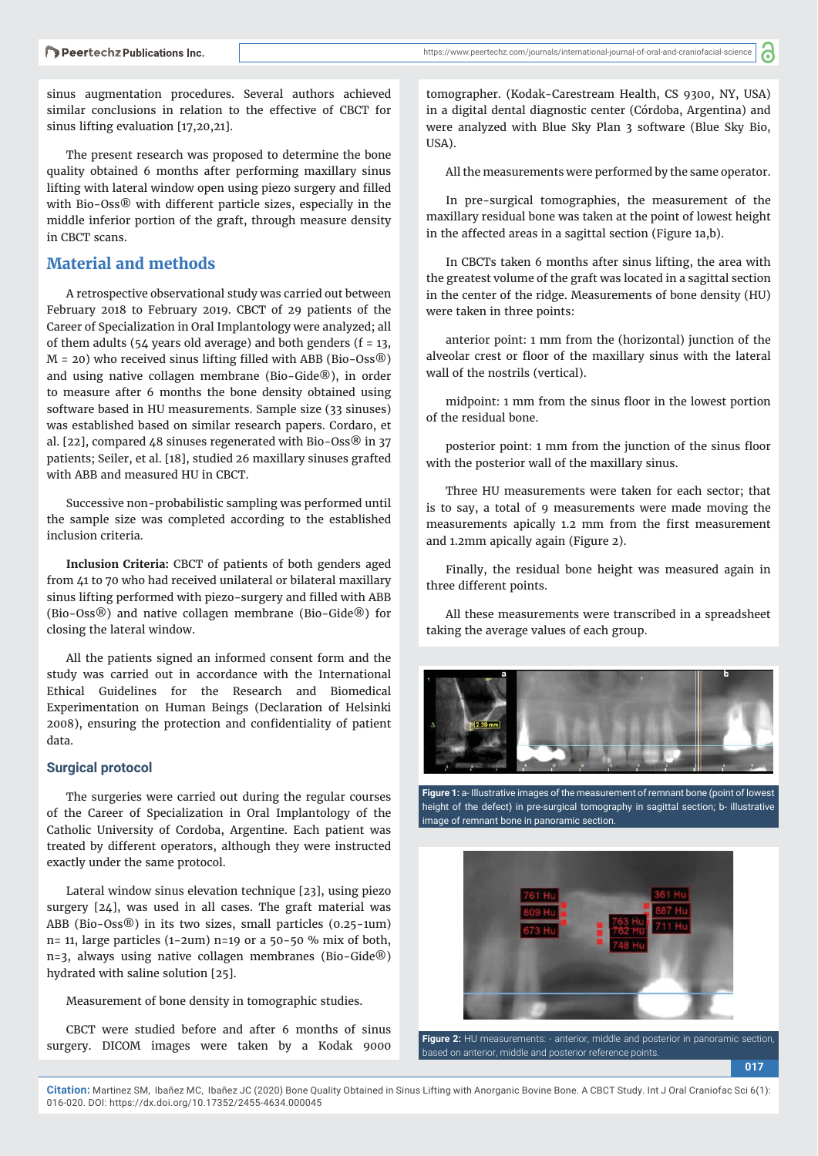sinus augmentation procedures. Several authors achieved similar conclusions in relation to the effective of CBCT for sinus lifting evaluation [17,20,21].

The present research was proposed to determine the bone quality obtained 6 months after performing maxillary sinus lifting with lateral window open using piezo surgery and filled with Bio-Oss® with different particle sizes, especially in the middle inferior portion of the graft, through measure density in CBCT scans.

#### **Material and methods**

A retrospective observational study was carried out between February 2018 to February 2019. CBCT of 29 patients of the Career of Specialization in Oral Implantology were analyzed; all of them adults (54 years old average) and both genders ( $f = 13$ ,  $M = 20$ ) who received sinus lifting filled with ABB (Bio-Oss $\circledR$ ) and using native collagen membrane (Bio-Gide®), in order to measure after 6 months the bone density obtained using software based in HU measurements. Sample size (33 sinuses) was established based on similar research papers. Cordaro, et al. [22], compared 48 sinuses regenerated with Bio-Oss® in 37 patients; Seiler, et al. [18], studied 26 maxillary sinuses grafted with ABB and measured HU in CBCT.

Successive non-probabilistic sampling was performed until the sample size was completed according to the established inclusion criteria.

**Inclusion Criteria:** CBCT of patients of both genders aged from 41 to 70 who had received unilateral or bilateral maxillary sinus lifting performed with piezo-surgery and filled with ABB (Bio-Oss®) and native collagen membrane (Bio-Gide®) for closing the lateral window.

All the patients signed an informed consent form and the study was carried out in accordance with the International Ethical Guidelines for the Research and Biomedical Experimentation on Human Beings (Declaration of Helsinki 2008), ensuring the protection and confidentiality of patient data.

#### **Surgical protocol**

The surgeries were carried out during the regular courses of the Career of Specialization in Oral Implantology of the Catholic University of Cordoba, Argentine. Each patient was treated by different operators, although they were instructed exactly under the same protocol.

Lateral window sinus elevation technique [23], using piezo surgery [24], was used in all cases. The graft material was ABB (Bio-Oss®) in its two sizes, small particles (0.25-1um)  $n=$  11, large particles (1-2um)  $n=$  19 or a 50-50 % mix of both, n=3, always using native collagen membranes (Bio-Gide®) hydrated with saline solution [25].

Measurement of bone density in tomographic studies.

CBCT were studied before and after 6 months of sinus surgery. DICOM images were taken by a Kodak 9000 tomographer. (Kodak-Carestream Health, CS 9300, NY, USA) in a digital dental diagnostic center (Córdoba, Argentina) and were analyzed with Blue Sky Plan 3 software (Blue Sky Bio, USA).

All the measurements were performed by the same operator.

In pre-surgical tomographies, the measurement of the maxillary residual bone was taken at the point of lowest height in the affected areas in a sagittal section (Figure 1a,b).

In CBCTs taken 6 months after sinus lifting, the area with the greatest volume of the graft was located in a sagittal section in the center of the ridge. Measurements of bone density (HU) were taken in three points:

anterior point: 1 mm from the (horizontal) junction of the alveolar crest or floor of the maxillary sinus with the lateral wall of the nostrils (vertical).

midpoint: 1 mm from the sinus floor in the lowest portion of the residual bone.

posterior point: 1 mm from the junction of the sinus floor with the posterior wall of the maxillary sinus.

Three HU measurements were taken for each sector; that is to say, a total of 9 measurements were made moving the measurements apically 1.2 mm from the first measurement and 1.2mm apically again (Figure 2).

Finally, the residual bone height was measured again in three different points.

All these measurements were transcribed in a spreadsheet taking the average values of each group.



**Figure 1:** a- Illustrative images of the measurement of remnant bone (point of lowest height of the defect) in pre-surgical tomography in sagittal section; b- illustrative image of remnant bone in panoramic section.



**017 Figure 2:** HU measurements: - anterior, middle and posterior in panoramic section, based on anterior, middle and posterior reference points.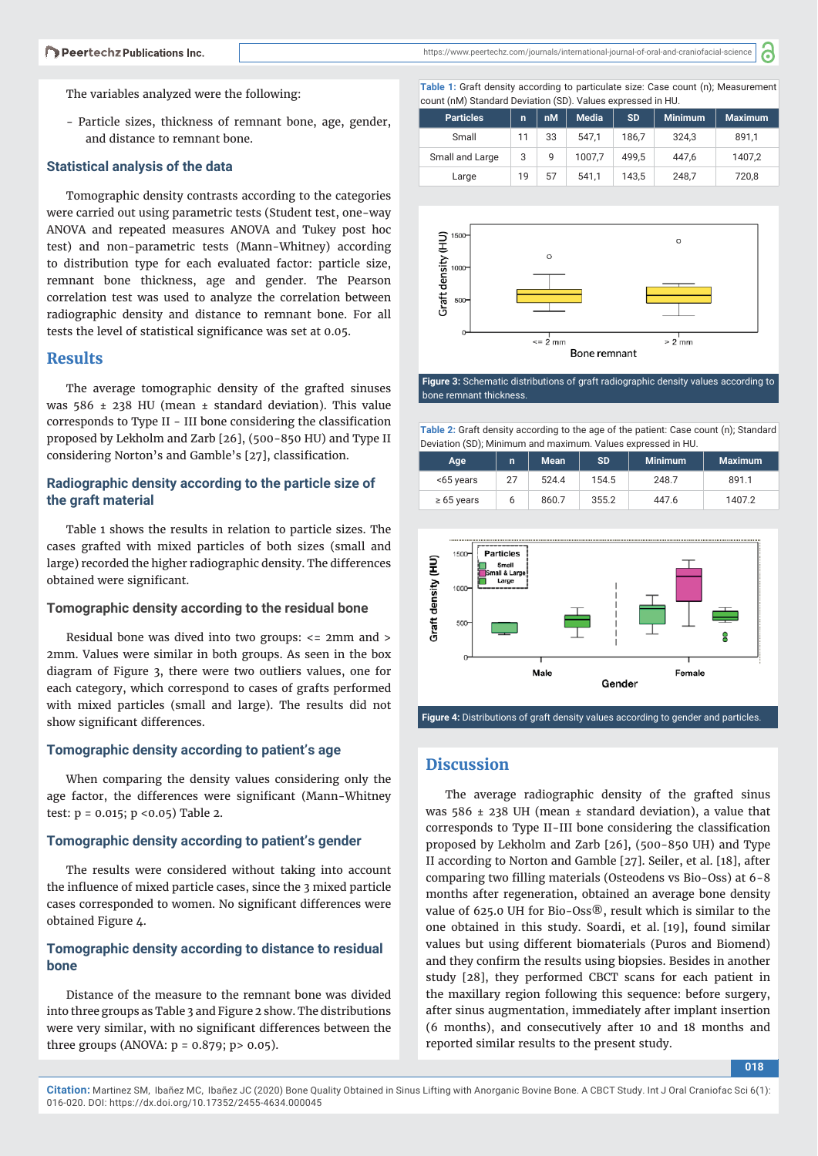https://www.peertechz.com/journals/international-journal-of-oral-and-craniofacial-science

'n

The variables analyzed were the following:

- Particle sizes, thickness of remnant bone, age, gender, and distance to remnant bone.

#### **Statistical analysis of the data**

Tomographic density contrasts according to the categories were carried out using parametric tests (Student test, one-way ANOVA and repeated measures ANOVA and Tukey post hoc test) and non-parametric tests (Mann-Whitney) according to distribution type for each evaluated factor: particle size, remnant bone thickness, age and gender. The Pearson correlation test was used to analyze the correlation between radiographic density and distance to remnant bone. For all tests the level of statistical significance was set at 0.05.

#### **Results**

The average tomographic density of the grafted sinuses was 586  $\pm$  238 HU (mean  $\pm$  standard deviation). This value corresponds to Type II - III bone considering the classification proposed by Lekholm and Zarb [26], (500-850 HU) and Type II considering Norton's and Gamble's [27], classification.

#### **Radiographic density according to the particle size of the graft material**

Table 1 shows the results in relation to particle sizes. The cases grafted with mixed particles of both sizes (small and large) recorded the higher radiographic density. The differences obtained were significant.

#### **Tomographic density according to the residual bone**

Residual bone was dived into two groups: <= 2mm and > 2mm. Values were similar in both groups. As seen in the box diagram of Figure 3, there were two outliers values, one for each category, which correspond to cases of grafts performed with mixed particles (small and large). The results did not show significant differences.

#### **Tomographic density according to patient's age**

When comparing the density values considering only the age factor, the differences were significant (Mann-Whitney test: p = 0.015; p <0.05) Table 2.

#### **Tomographic density according to patient's gender**

The results were considered without taking into account the influence of mixed particle cases, since the 3 mixed particle cases corresponded to women. No significant differences were obtained Figure 4.

#### **Tomographic density according to distance to residual bone**

Distance of the measure to the remnant bone was divided into three groups as Table 3 and Figure 2 show. The distributions were very similar, with no significant differences between the three groups (ANOVA:  $p = 0.879$ ;  $p > 0.05$ ).

**Table 1:** Graft density according to particulate size: Case count (n); Measurement count (nM) Standard Deviation (SD). Values expressed in HU.

| <b>Particles</b> | n  | nM | <b>Media</b> | <b>SD</b> | <b>Minimum</b> | <b>Maximum</b> |
|------------------|----|----|--------------|-----------|----------------|----------------|
| Small            | 11 | 33 | 547.1        | 186.7     | 324.3          | 891,1          |
| Small and Large  | 3  | 9  | 1007.7       | 499.5     | 447.6          | 1407.2         |
| Large            | 19 | 57 | 541.1        | 143.5     | 248,7          | 720,8          |



**Figure 3:** Schematic distributions of graft radiographic density values according to bone remnant thickness.

**Table 2:** Graft density according to the age of the patient: Case count (n); Standard Deviation (SD); Minimum and maximum. Values expressed in HU.

| Age             | n  | <b>Mean</b> | <b>SD</b> | <b>Minimum</b> | <b>Maximum</b> |
|-----------------|----|-------------|-----------|----------------|----------------|
| <65 years       | 27 | 524.4       | 154.5     | 248.7          | 891.1          |
| $\geq 65$ years |    | 860.7       | 355.2     | 447.6          | 1407.2         |



**Figure 4:** Distributions of graft density values according to gender and particles.

#### **Discussion**

The average radiographic density of the grafted sinus was 586  $\pm$  238 UH (mean  $\pm$  standard deviation), a value that corresponds to Type II-III bone considering the classification proposed by Lekholm and Zarb [26], (500-850 UH) and Type II according to Norton and Gamble [27]. Seiler, et al. [18], after comparing two filling materials (Osteodens vs Bio-Oss) at 6-8 months after regeneration, obtained an average bone density value of 625.0 UH for Bio-Oss®, result which is similar to the one obtained in this study. Soardi, et al. [19], found similar values but using different biomaterials (Puros and Biomend) and they confirm the results using biopsies. Besides in another study [28], they performed CBCT scans for each patient in the maxillary region following this sequence: before surgery, after sinus augmentation, immediately after implant insertion (6 months), and consecutively after 10 and 18 months and reported similar results to the present study.

**018**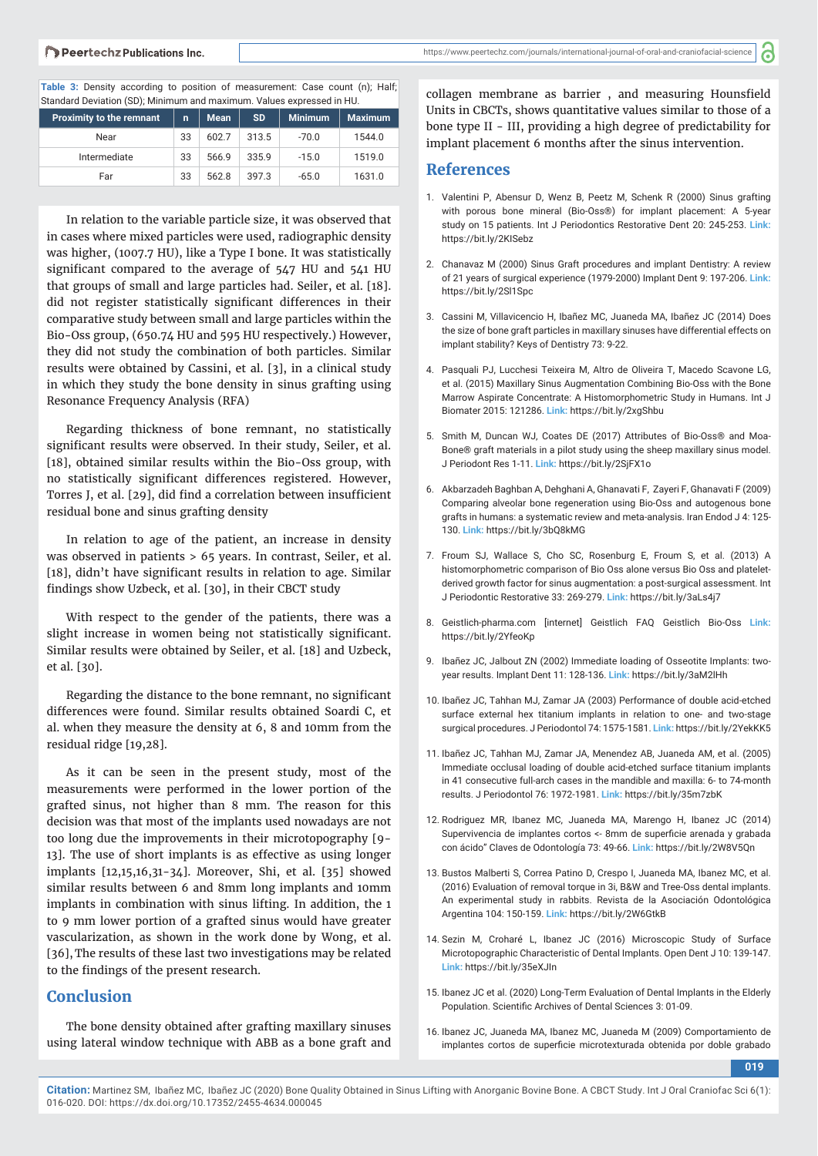#### Peertechz Publications Inc.

ි

**Table 3:** Density according to position of measurement: Case count (n); Half; Standard Deviation (SD); Minimum and maximum. Values expressed in HU.

| <b>Proximity to the remnant</b> | $\mathbf{r}$ | <b>Mean</b> | <b>SD</b> | <b>Minimum</b> | <b>Maximum</b> |
|---------------------------------|--------------|-------------|-----------|----------------|----------------|
| Near                            | 33           | 602.7       | 313.5     | $-70.0$        | 1544.0         |
| Intermediate                    | 33           | 566.9       | 335.9     | $-15.0$        | 1519.0         |
| Far                             | 33           | 562.8       | 397.3     | $-65.0$        | 1631.0         |

In relation to the variable particle size, it was observed that in cases where mixed particles were used, radiographic density was higher, (1007.7 HU), like a Type I bone. It was statistically significant compared to the average of 547 HU and 541 HU that groups of small and large particles had. Seiler, et al. [18]. did not register statistically significant differences in their comparative study between small and large particles within the Bio-Oss group, (650.74 HU and 595 HU respectively.) However, they did not study the combination of both particles. Similar results were obtained by Cassini, et al. [3], in a clinical study in which they study the bone density in sinus grafting using Resonance Frequency Analysis (RFA)

Regarding thickness of bone remnant, no statistically significant results were observed. In their study, Seiler, et al. [18], obtained similar results within the Bio-Oss group, with no statistically significant differences registered. However, Torres J, et al. [29], did find a correlation between insufficient residual bone and sinus grafting density

In relation to age of the patient, an increase in density was observed in patients > 65 years. In contrast, Seiler, et al. [18], didn't have significant results in relation to age. Similar findings show Uzbeck, et al. [30], in their CBCT study

With respect to the gender of the patients, there was a slight increase in women being not statistically significant. Similar results were obtained by Seiler, et al. [18] and Uzbeck, et al. [30].

Regarding the distance to the bone remnant, no significant differences were found. Similar results obtained Soardi C, et al. when they measure the density at 6, 8 and 10mm from the residual ridge [19,28].

As it can be seen in the present study, most of the measurements were performed in the lower portion of the grafted sinus, not higher than 8 mm. The reason for this decision was that most of the implants used nowadays are not too long due the improvements in their microtopography [9- 13]. The use of short implants is as effective as using longer implants [12,15,16,31-34]. Moreover, Shi, et al. [35] showed similar results between 6 and 8mm long implants and 10mm implants in combination with sinus lifting. In addition, the 1 to 9 mm lower portion of a grafted sinus would have greater vascularization, as shown in the work done by Wong, et al. [36],The results of these last two investigations may be related to the findings of the present research.

#### **Conclusion**

The bone density obtained after grafting maxillary sinuses using lateral window technique with ABB as a bone graft and collagen membrane as barrier, and measuring Hounsfield Units in CBCTs, shows quantitative values similar to those of a bone type II - III, providing a high degree of predictability for implant placement 6 months after the sinus intervention.

#### **References**

- 1. Valentini P, Abensur D, Wenz B, Peetz M, Schenk R (2000) Sinus grafting with porous bone mineral (Bio-Oss®) for implant placement: A 5-year study on 15 patients. Int J Periodontics Restorative Dent 20: 245-253. **Link:** https://bit.ly/2KISebz
- 2. Chanavaz M (2000) Sinus Graft procedures and implant Dentistry: A review of 21 years of surgical experience (1979-2000) Implant Dent 9: 197-206. **Link:** https://bit.ly/2Sl1Spc
- 3. Cassini M, Villavicencio H, Ibañez MC, Juaneda MA, Ibañez JC (2014) Does the size of bone graft particles in maxillary sinuses have differential effects on implant stability? Keys of Dentistry 73: 9-22.
- 4. Pasquali PJ, Lucchesi Teixeira M, Altro de Oliveira T, Macedo Scavone LG, et al. (2015) Maxillary Sinus Augmentation Combining Bio-Oss with the Bone Marrow Aspirate Concentrate: A Histomorphometric Study in Humans. Int J Biomater 2015: 121286. **Link:** https://bit.ly/2xgShbu
- 5. Smith M, Duncan WJ, Coates DE (2017) Attributes of Bio-Oss® and Moa-Bone® graft materials in a pilot study using the sheep maxillary sinus model. J Periodont Res 1-11. **Link:** https://bit.ly/2SjFX1o
- 6. Akbarzadeh Baghban A, Dehghani A, Ghanavati F, Zayeri F, Ghanavati F (2009) Comparing alveolar bone regeneration using Bio-Oss and autogenous bone grafts in humans: a systematic review and meta-analysis. Iran Endod J 4: 125- 130. **Link:** https://bit.ly/3bQ8kMG
- 7. Froum SJ, Wallace S, Cho SC, Rosenburg E, Froum S, et al. (2013) A histomorphometric comparison of Bio Oss alone versus Bio Oss and plateletderived growth factor for sinus augmentation: a post-surgical assessment. Int J Periodontic Restorative 33: 269-279. **Link:** https://bit.ly/3aLs4j7
- 8. Geistlich-pharma.com [internet] Geistlich FAQ Geistlich Bio-Oss **Link:** https://bit.ly/2YfeoKp
- 9. Ibañez JC, Jalbout ZN (2002) Immediate loading of Osseotite Implants: twoyear results. Implant Dent 11: 128-136. **Link:** https://bit.ly/3aM2lHh
- 10. Ibañez JC, Tahhan MJ, Zamar JA (2003) Performance of double acid-etched surface external hex titanium implants in relation to one- and two-stage surgical procedures. J Periodontol 74: 1575-1581. **Link:** https://bit.ly/2YekKK5
- 11. Ibañez JC, Tahhan MJ, Zamar JA, Menendez AB, Juaneda AM, et al. (2005) Immediate occlusal loading of double acid-etched surface titanium implants in 41 consecutive full-arch cases in the mandible and maxilla: 6- to 74-month results. J Periodontol 76: 1972-1981. **Link:** https://bit.ly/35m7zbK
- 12. Rodriguez MR, Ibanez MC, Juaneda MA, Marengo H, Ibanez JC (2014) Supervivencia de implantes cortos <- 8mm de superficie arenada y grabada con ácido" Claves de Odontología 73: 49-66. **Link:** https://bit.ly/2W8V5Qn
- 13. Bustos Malberti S, Correa Patino D, Crespo I, Juaneda MA, Ibanez MC, et al. (2016) Evaluation of removal torque in 3i, B&W and Tree-Oss dental implants. An experimental study in rabbits. Revista de la Asociación Odontológica Argentina 104: 150-159. **Link:** https://bit.ly/2W6GtkB
- 14. Sezin M, Croharé L, Ibanez JC (2016) Microscopic Study of Surface Microtopographic Characteristic of Dental Implants. Open Dent J 10: 139-147. **Link:** https://bit.ly/35eXJIn
- 15. Ibanez JC et al. (2020) Long-Term Evaluation of Dental Implants in the Elderly Population. Scientific Archives of Dental Sciences 3: 01-09.
- 16. Ibanez JC, Juaneda MA, Ibanez MC, Juaneda M (2009) Comportamiento de implantes cortos de superficie microtexturada obtenida por doble grabado

**019**